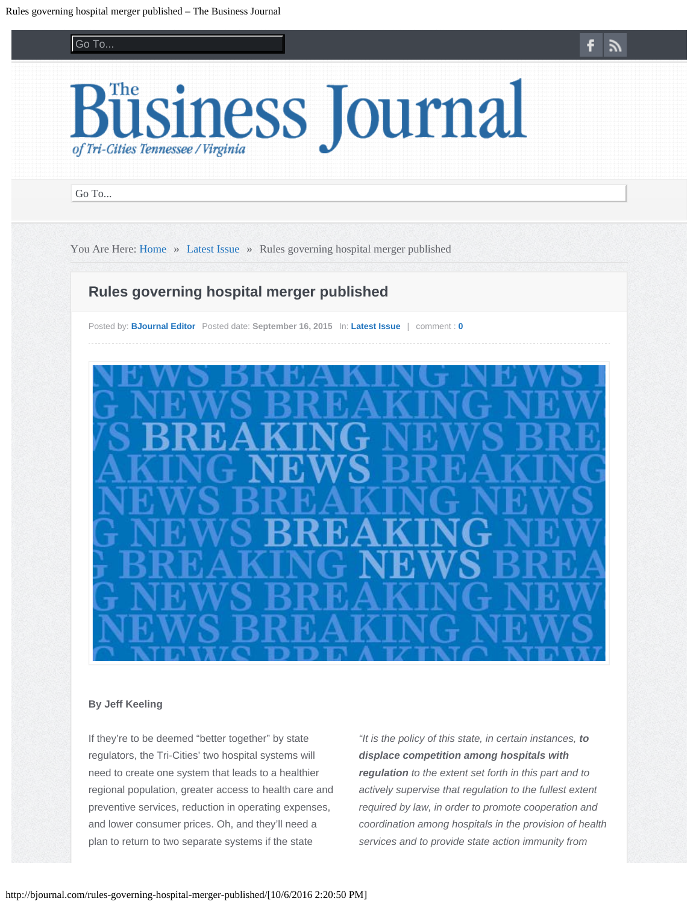### Go To... Go To...

<span id="page-0-0"></span>

Go To... Go To...

You Are Here: [Home](http://bjournal.com/) » [Latest Issue](http://bjournal.com/category/latest-issue/) » Rules governing hospital merger published

# **Rules governing hospital merger published**

Posted by: **[BJournal Editor](http://bjournal.com/author/jeff-keeling/)** Posted date: **September 16, 2015** In: **[Latest Issue](http://bjournal.com/category/latest-issue/)** | comment : **[0](#page-0-0)**



#### **By Jeff Keeling**

If they're to be deemed "better together" by state regulators, the Tri-Cities' two hospital systems will need to create one system that leads to a healthier regional population, greater access to health care and preventive services, reduction in operating expenses, and lower consumer prices. Oh, and they'll need a plan to return to two separate systems if the state

*"It is the policy of this state, in certain instances, to displace competition among hospitals with regulation to the extent set forth in this part and to actively supervise that regulation to the fullest extent required by law, in order to promote cooperation and coordination among hospitals in the provision of health services and to provide state action immunity from*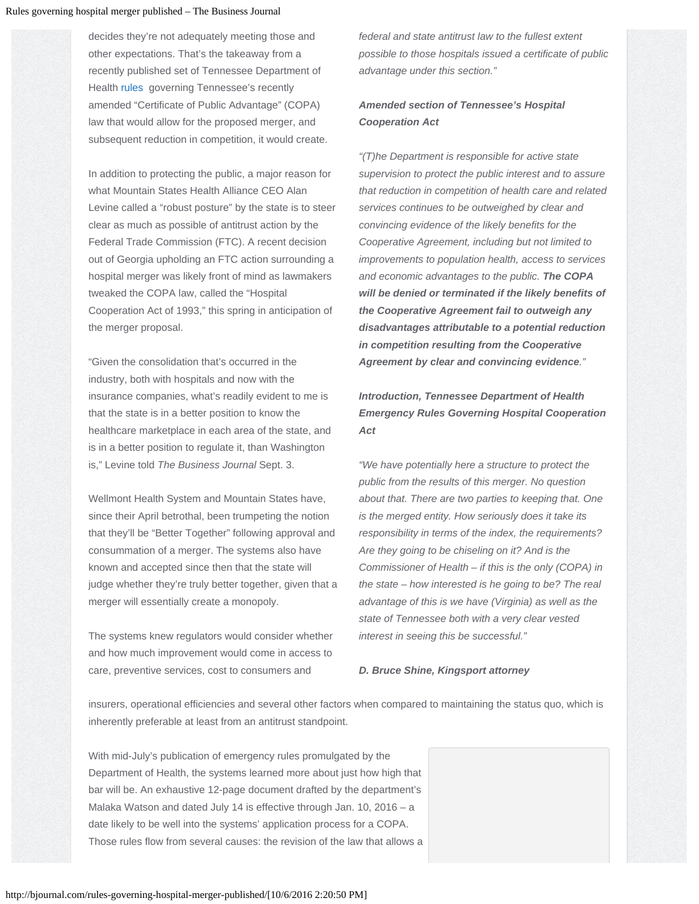decides they're not adequately meeting those and other expectations. That's the takeaway from a recently published set of Tennessee Department of Health [rules](http://bjournal.com/wp-content/uploads/2015/09/rules.pdf) governing Tennessee's recently amended "Certificate of Public Advantage" (COPA) law that would allow for the proposed merger, and subsequent reduction in competition, it would create.

In addition to protecting the public, a major reason for what Mountain States Health Alliance CEO Alan Levine called a "robust posture" by the state is to steer clear as much as possible of antitrust action by the Federal Trade Commission (FTC). A recent decision out of Georgia upholding an FTC action surrounding a hospital merger was likely front of mind as lawmakers tweaked the COPA law, called the "Hospital Cooperation Act of 1993," this spring in anticipation of the merger proposal.

"Given the consolidation that's occurred in the industry, both with hospitals and now with the insurance companies, what's readily evident to me is that the state is in a better position to know the healthcare marketplace in each area of the state, and is in a better position to regulate it, than Washington is," Levine told *The Business Journal* Sept. 3.

Wellmont Health System and Mountain States have, since their April betrothal, been trumpeting the notion that they'll be "Better Together" following approval and consummation of a merger. The systems also have known and accepted since then that the state will judge whether they're truly better together, given that a merger will essentially create a monopoly.

The systems knew regulators would consider whether and how much improvement would come in access to care, preventive services, cost to consumers and

*federal and state antitrust law to the fullest extent possible to those hospitals issued a certificate of public advantage under this section."*

# *Amended section of Tennessee's Hospital Cooperation Act*

*"(T)he Department is responsible for active state supervision to protect the public interest and to assure that reduction in competition of health care and related services continues to be outweighed by clear and convincing evidence of the likely benefits for the Cooperative Agreement, including but not limited to improvements to population health, access to services and economic advantages to the public. The COPA will be denied or terminated if the likely benefits of the Cooperative Agreement fail to outweigh any disadvantages attributable to a potential reduction in competition resulting from the Cooperative Agreement by clear and convincing evidence."*

*Introduction, Tennessee Department of Health Emergency Rules Governing Hospital Cooperation Act*

*"We have potentially here a structure to protect the public from the results of this merger. No question about that. There are two parties to keeping that. One is the merged entity. How seriously does it take its responsibility in terms of the index, the requirements? Are they going to be chiseling on it? And is the Commissioner of Health – if this is the only (COPA) in the state – how interested is he going to be? The real advantage of this is we have (Virginia) as well as the state of Tennessee both with a very clear vested interest in seeing this be successful."*

### *D. Bruce Shine, Kingsport attorney*

insurers, operational efficiencies and several other factors when compared to maintaining the status quo, which is inherently preferable at least from an antitrust standpoint.

With mid-July's publication of emergency rules promulgated by the Department of Health, the systems learned more about just how high that bar will be. An exhaustive 12-page document drafted by the department's Malaka Watson and dated July 14 is effective through Jan. 10, 2016 – a date likely to be well into the systems' application process for a COPA. Those rules flow from several causes: the revision of the law that allows a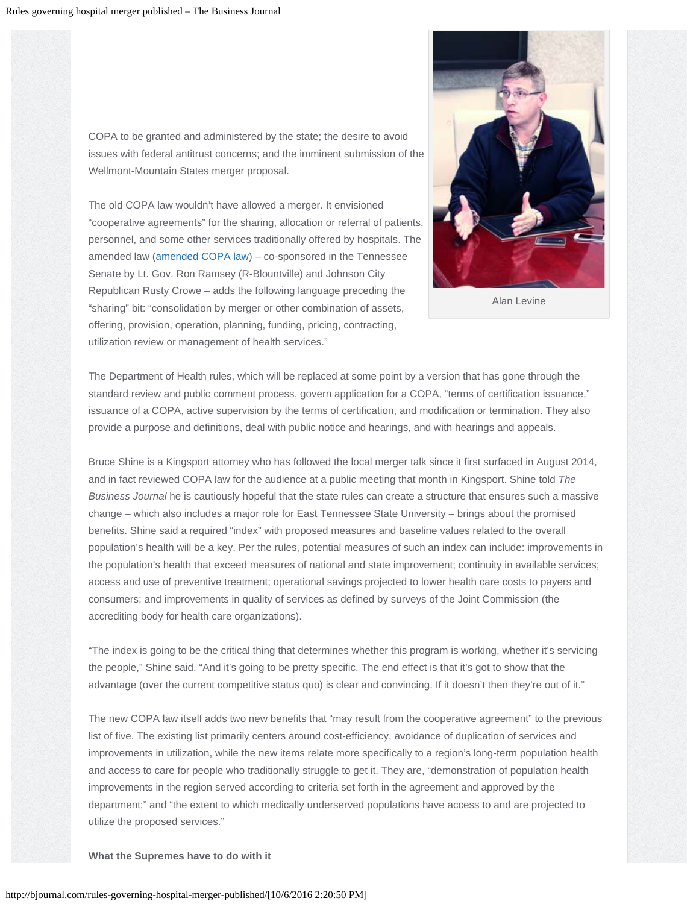COPA to be granted and administered by the state; the desire to avoid issues with federal antitrust concerns; and the imminent submission of the Wellmont-Mountain States merger proposal.

The old COPA law wouldn't have allowed a merger. It envisioned "cooperative agreements" for the sharing, allocation or referral of patients, personnel, and some other services traditionally offered by hospitals. The amended law [\(amended COPA law](http://bjournal.com/wp-content/uploads/2015/09/amended-COPA-law.pdf)) – co-sponsored in the Tennessee Senate by Lt. Gov. Ron Ramsey (R-Blountville) and Johnson City Republican Rusty Crowe – adds the following language preceding the "sharing" bit: "consolidation by merger or other combination of assets, offering, provision, operation, planning, funding, pricing, contracting, utilization review or management of health services."



Alan Levine

The Department of Health rules, which will be replaced at some point by a version that has gone through the standard review and public comment process, govern application for a COPA, "terms of certification issuance," issuance of a COPA, active supervision by the terms of certification, and modification or termination. They also provide a purpose and definitions, deal with public notice and hearings, and with hearings and appeals.

Bruce Shine is a Kingsport attorney who has followed the local merger talk since it first surfaced in August 2014, and in fact reviewed COPA law for the audience at a public meeting that month in Kingsport. Shine told *The Business Journal* he is cautiously hopeful that the state rules can create a structure that ensures such a massive change – which also includes a major role for East Tennessee State University – brings about the promised benefits. Shine said a required "index" with proposed measures and baseline values related to the overall population's health will be a key. Per the rules, potential measures of such an index can include: improvements in the population's health that exceed measures of national and state improvement; continuity in available services; access and use of preventive treatment; operational savings projected to lower health care costs to payers and consumers; and improvements in quality of services as defined by surveys of the Joint Commission (the accrediting body for health care organizations).

"The index is going to be the critical thing that determines whether this program is working, whether it's servicing the people," Shine said. "And it's going to be pretty specific. The end effect is that it's got to show that the advantage (over the current competitive status quo) is clear and convincing. If it doesn't then they're out of it."

The new COPA law itself adds two new benefits that "may result from the cooperative agreement" to the previous list of five. The existing list primarily centers around cost-efficiency, avoidance of duplication of services and improvements in utilization, while the new items relate more specifically to a region's long-term population health and access to care for people who traditionally struggle to get it. They are, "demonstration of population health improvements in the region served according to criteria set forth in the agreement and approved by the department;" and "the extent to which medically underserved populations have access to and are projected to utilize the proposed services."

#### **What the Supremes have to do with it**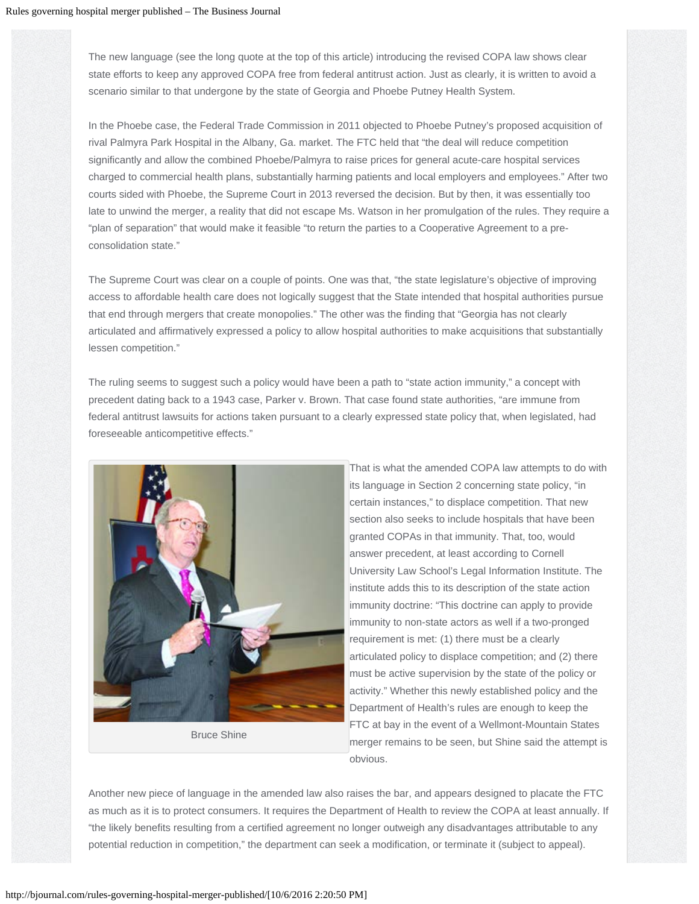The new language (see the long quote at the top of this article) introducing the revised COPA law shows clear state efforts to keep any approved COPA free from federal antitrust action. Just as clearly, it is written to avoid a scenario similar to that undergone by the state of Georgia and Phoebe Putney Health System.

In the Phoebe case, the Federal Trade Commission in 2011 objected to Phoebe Putney's proposed acquisition of rival Palmyra Park Hospital in the Albany, Ga. market. The FTC held that "the deal will reduce competition significantly and allow the combined Phoebe/Palmyra to raise prices for general acute-care hospital services charged to commercial health plans, substantially harming patients and local employers and employees." After two courts sided with Phoebe, the Supreme Court in 2013 reversed the decision. But by then, it was essentially too late to unwind the merger, a reality that did not escape Ms. Watson in her promulgation of the rules. They require a "plan of separation" that would make it feasible "to return the parties to a Cooperative Agreement to a preconsolidation state."

The Supreme Court was clear on a couple of points. One was that, "the state legislature's objective of improving access to affordable health care does not logically suggest that the State intended that hospital authorities pursue that end through mergers that create monopolies." The other was the finding that "Georgia has not clearly articulated and affirmatively expressed a policy to allow hospital authorities to make acquisitions that substantially lessen competition."

The ruling seems to suggest such a policy would have been a path to "state action immunity," a concept with precedent dating back to a 1943 case, Parker v. Brown. That case found state authorities, "are immune from federal antitrust lawsuits for actions taken pursuant to a clearly expressed state policy that, when legislated, had foreseeable anticompetitive effects."



Bruce Shine

That is what the amended COPA law attempts to do with its language in Section 2 concerning state policy, "in certain instances," to displace competition. That new section also seeks to include hospitals that have been granted COPAs in that immunity. That, too, would answer precedent, at least according to Cornell University Law School's Legal Information Institute. The institute adds this to its description of the state action immunity doctrine: "This doctrine can apply to provide immunity to non-state actors as well if a two-pronged requirement is met: (1) there must be a clearly articulated policy to displace competition; and (2) there must be active supervision by the state of the policy or activity." Whether this newly established policy and the Department of Health's rules are enough to keep the FTC at bay in the event of a Wellmont-Mountain States merger remains to be seen, but Shine said the attempt is obvious.

Another new piece of language in the amended law also raises the bar, and appears designed to placate the FTC as much as it is to protect consumers. It requires the Department of Health to review the COPA at least annually. If "the likely benefits resulting from a certified agreement no longer outweigh any disadvantages attributable to any potential reduction in competition," the department can seek a modification, or terminate it (subject to appeal).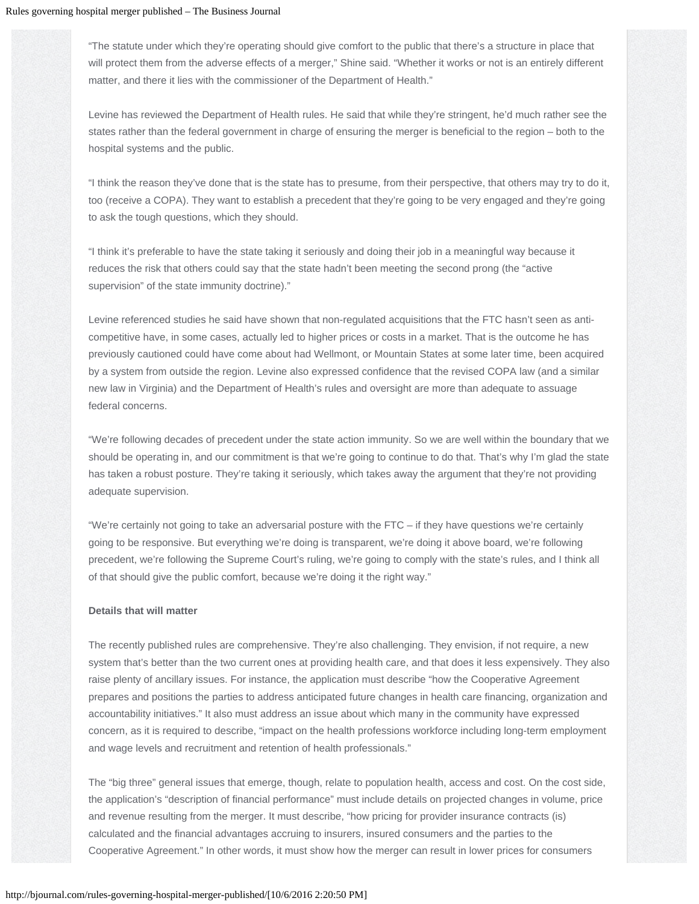"The statute under which they're operating should give comfort to the public that there's a structure in place that will protect them from the adverse effects of a merger," Shine said. "Whether it works or not is an entirely different matter, and there it lies with the commissioner of the Department of Health."

Levine has reviewed the Department of Health rules. He said that while they're stringent, he'd much rather see the states rather than the federal government in charge of ensuring the merger is beneficial to the region – both to the hospital systems and the public.

"I think the reason they've done that is the state has to presume, from their perspective, that others may try to do it, too (receive a COPA). They want to establish a precedent that they're going to be very engaged and they're going to ask the tough questions, which they should.

"I think it's preferable to have the state taking it seriously and doing their job in a meaningful way because it reduces the risk that others could say that the state hadn't been meeting the second prong (the "active supervision" of the state immunity doctrine)."

Levine referenced studies he said have shown that non-regulated acquisitions that the FTC hasn't seen as anticompetitive have, in some cases, actually led to higher prices or costs in a market. That is the outcome he has previously cautioned could have come about had Wellmont, or Mountain States at some later time, been acquired by a system from outside the region. Levine also expressed confidence that the revised COPA law (and a similar new law in Virginia) and the Department of Health's rules and oversight are more than adequate to assuage federal concerns.

"We're following decades of precedent under the state action immunity. So we are well within the boundary that we should be operating in, and our commitment is that we're going to continue to do that. That's why I'm glad the state has taken a robust posture. They're taking it seriously, which takes away the argument that they're not providing adequate supervision.

"We're certainly not going to take an adversarial posture with the FTC – if they have questions we're certainly going to be responsive. But everything we're doing is transparent, we're doing it above board, we're following precedent, we're following the Supreme Court's ruling, we're going to comply with the state's rules, and I think all of that should give the public comfort, because we're doing it the right way."

#### **Details that will matter**

The recently published rules are comprehensive. They're also challenging. They envision, if not require, a new system that's better than the two current ones at providing health care, and that does it less expensively. They also raise plenty of ancillary issues. For instance, the application must describe "how the Cooperative Agreement prepares and positions the parties to address anticipated future changes in health care financing, organization and accountability initiatives." It also must address an issue about which many in the community have expressed concern, as it is required to describe, "impact on the health professions workforce including long-term employment and wage levels and recruitment and retention of health professionals."

The "big three" general issues that emerge, though, relate to population health, access and cost. On the cost side, the application's "description of financial performance" must include details on projected changes in volume, price and revenue resulting from the merger. It must describe, "how pricing for provider insurance contracts (is) calculated and the financial advantages accruing to insurers, insured consumers and the parties to the Cooperative Agreement." In other words, it must show how the merger can result in lower prices for consumers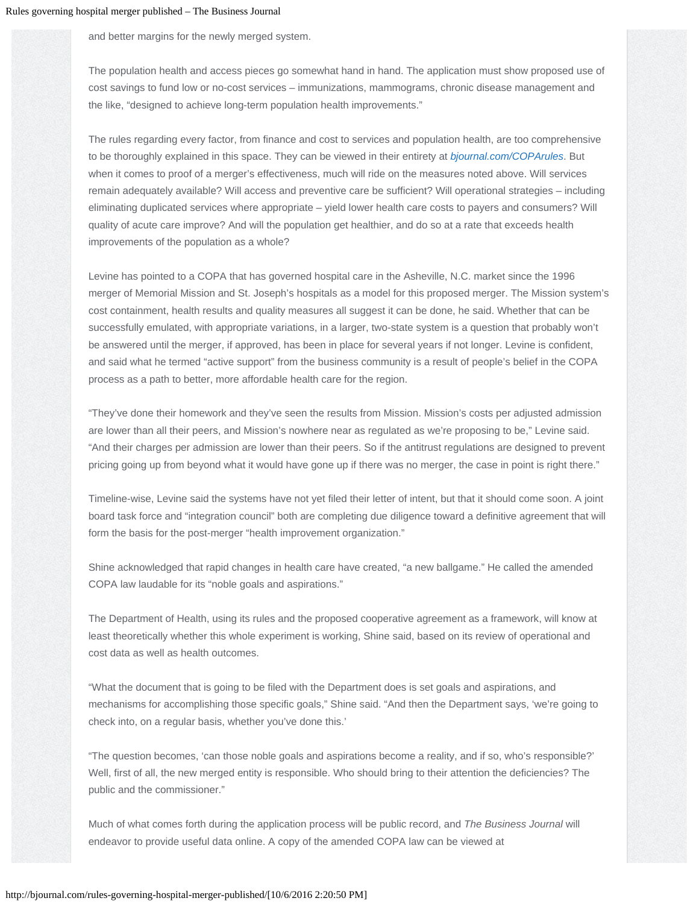and better margins for the newly merged system.

The population health and access pieces go somewhat hand in hand. The application must show proposed use of cost savings to fund low or no-cost services – immunizations, mammograms, chronic disease management and the like, "designed to achieve long-term population health improvements."

The rules regarding every factor, from finance and cost to services and population health, are too comprehensive to be thoroughly explained in this space. They can be viewed in their entirety at *[bjournal.com/COPArules](http://bjournal.com/coparules/)*. But when it comes to proof of a merger's effectiveness, much will ride on the measures noted above. Will services remain adequately available? Will access and preventive care be sufficient? Will operational strategies – including eliminating duplicated services where appropriate – yield lower health care costs to payers and consumers? Will quality of acute care improve? And will the population get healthier, and do so at a rate that exceeds health improvements of the population as a whole?

Levine has pointed to a COPA that has governed hospital care in the Asheville, N.C. market since the 1996 merger of Memorial Mission and St. Joseph's hospitals as a model for this proposed merger. The Mission system's cost containment, health results and quality measures all suggest it can be done, he said. Whether that can be successfully emulated, with appropriate variations, in a larger, two-state system is a question that probably won't be answered until the merger, if approved, has been in place for several years if not longer. Levine is confident, and said what he termed "active support" from the business community is a result of people's belief in the COPA process as a path to better, more affordable health care for the region.

"They've done their homework and they've seen the results from Mission. Mission's costs per adjusted admission are lower than all their peers, and Mission's nowhere near as regulated as we're proposing to be," Levine said. "And their charges per admission are lower than their peers. So if the antitrust regulations are designed to prevent pricing going up from beyond what it would have gone up if there was no merger, the case in point is right there."

Timeline-wise, Levine said the systems have not yet filed their letter of intent, but that it should come soon. A joint board task force and "integration council" both are completing due diligence toward a definitive agreement that will form the basis for the post-merger "health improvement organization."

Shine acknowledged that rapid changes in health care have created, "a new ballgame." He called the amended COPA law laudable for its "noble goals and aspirations."

The Department of Health, using its rules and the proposed cooperative agreement as a framework, will know at least theoretically whether this whole experiment is working, Shine said, based on its review of operational and cost data as well as health outcomes.

"What the document that is going to be filed with the Department does is set goals and aspirations, and mechanisms for accomplishing those specific goals," Shine said. "And then the Department says, 'we're going to check into, on a regular basis, whether you've done this.'

"The question becomes, 'can those noble goals and aspirations become a reality, and if so, who's responsible?' Well, first of all, the new merged entity is responsible. Who should bring to their attention the deficiencies? The public and the commissioner."

Much of what comes forth during the application process will be public record, and *The Business Journal* will endeavor to provide useful data online. A copy of the amended COPA law can be viewed at